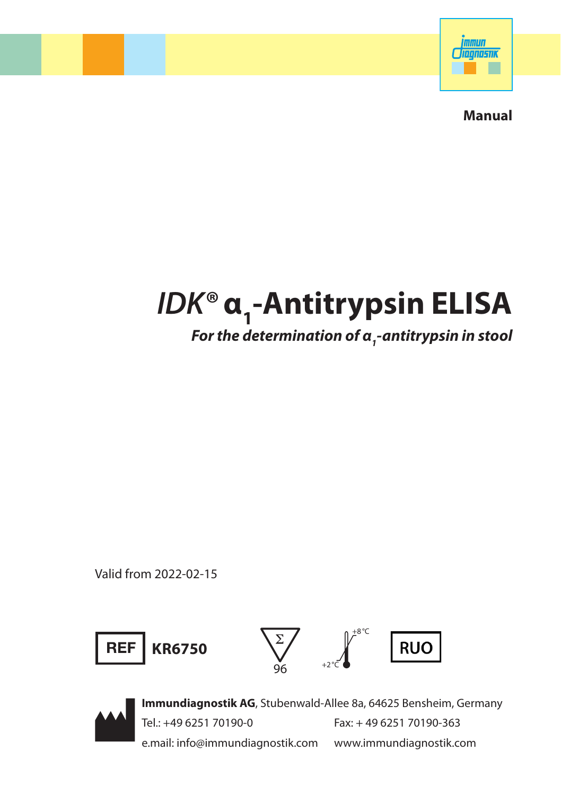

**Manual**

# lDK® α<sub>1</sub>-Antitrypsin ELISA *For the determination of α1 -antitrypsin in stool*

Valid from 2022-02-15





**Immundiagnostik AG**, Stubenwald-Allee 8a, 64625 Bensheim, Germany Tel.: +49 6251 70190-0 Fax: + 49 6251 70190-363 e.mail: info@immundiagnostik.com www.immundiagnostik.com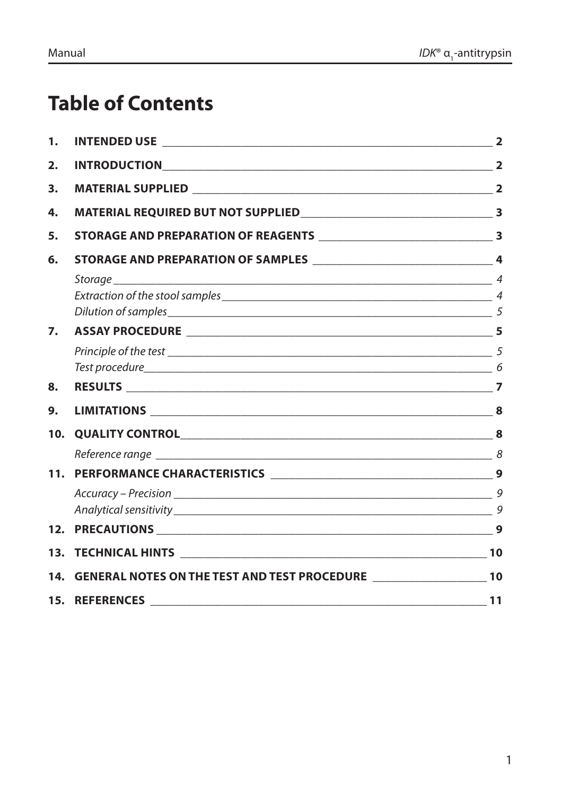## **Table of Contents**

| 1.  |                                                                                     |    |
|-----|-------------------------------------------------------------------------------------|----|
| 2.  |                                                                                     |    |
| 3.  |                                                                                     |    |
| 4.  |                                                                                     |    |
| 5.  |                                                                                     |    |
| 6.  |                                                                                     |    |
|     |                                                                                     |    |
|     |                                                                                     |    |
|     |                                                                                     |    |
| 7.  |                                                                                     |    |
|     |                                                                                     |    |
|     |                                                                                     |    |
| 8.  |                                                                                     |    |
| 9.  |                                                                                     |    |
| 10. | QUALITY CONTROL 8                                                                   |    |
|     |                                                                                     |    |
|     |                                                                                     |    |
|     |                                                                                     |    |
|     |                                                                                     |    |
|     |                                                                                     |    |
|     |                                                                                     | 10 |
| 14. | GENERAL NOTES ON THE TEST AND TEST PROCEDURE ___________________________________ 10 |    |
|     |                                                                                     |    |
|     |                                                                                     |    |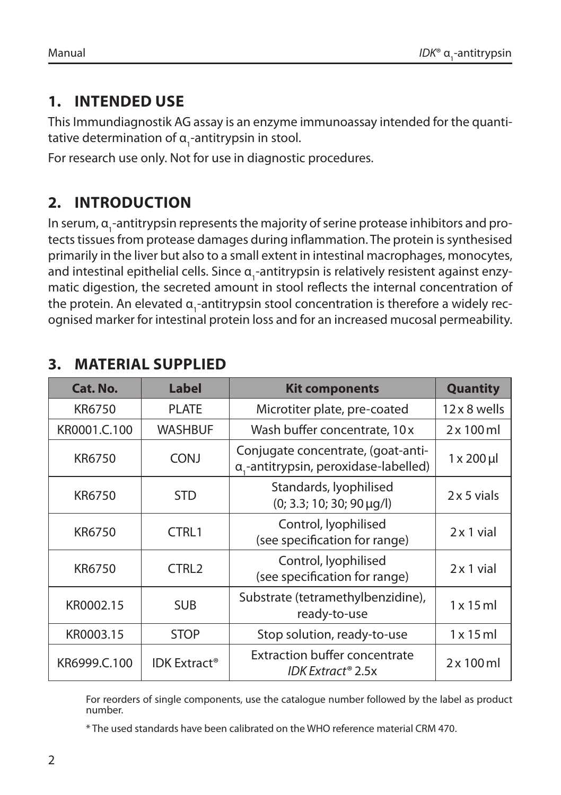### **1. INTENDED USE**

This Immundiagnostik AG assay is an enzyme immunoassay intended for the quantitative determination of α<sub>1</sub>-antitrypsin in stool.

For research use only. Not for use in diagnostic procedures.

### **2. INTRODUCTION**

In serum,  $\alpha_{_1}$ -antitrypsin represents the majority of serine protease inhibitors and protects tissues from protease damages during inflammation. The protein is synthesised primarily in the liver but also to a small extent in intestinal macrophages, monocytes, and intestinal epithelial cells. Since α<sub>1</sub>-antitrypsin is relatively resistent against enzymatic digestion, the secreted amount in stool reflects the internal concentration of the protein. An elevated  $\alpha_{_1}$ -antitrypsin stool concentration is therefore a widely recognised marker for intestinal protein loss and for an increased mucosal permeability.

| Cat. No.     | <b>Label</b>                                                                              | <b>Kit components</b>                                     | <b>Quantity</b>      |
|--------------|-------------------------------------------------------------------------------------------|-----------------------------------------------------------|----------------------|
| KR6750       | <b>PLATE</b><br>Microtiter plate, pre-coated                                              |                                                           | $12 \times 8$ wells  |
| KR0001.C.100 | Wash buffer concentrate, 10 x<br>WASHBUF                                                  |                                                           | $2 \times 100$ ml    |
| KR6750       | Conjugate concentrate, (goat-anti-<br><b>CONJ</b><br>a,-antitrypsin, peroxidase-labelled) |                                                           | $1 \times 200 \,\mu$ |
| KR6750       | <b>STD</b>                                                                                | Standards, lyophilised<br>$(0; 3.3; 10; 30; 90 \mu g/l)$  | $2 \times 5$ vials   |
| KR6750       | CTRL1                                                                                     | Control, lyophilised<br>(see specification for range)     |                      |
| KR6750       | CTRL <sub>2</sub>                                                                         | Control, lyophilised<br>(see specification for range)     | $2 \times 1$ vial    |
| KR0002.15    | <b>SUB</b>                                                                                | Substrate (tetramethylbenzidine),<br>ready-to-use         | $1 \times 15$ ml     |
| KR0003.15    | <b>STOP</b>                                                                               | Stop solution, ready-to-use                               | $1 \times 15$ ml     |
| KR6999.C.100 | <b>IDK Extract<sup>®</sup></b>                                                            | <b>Extraction buffer concentrate</b><br>IDK Extract® 2.5x | $2 \times 100$ ml    |

### **3. MATERIAL SUPPLIED**

For reorders of single components, use the catalogue number followed by the label as product number.

\* The used standards have been calibrated on the WHO reference material CRM 470.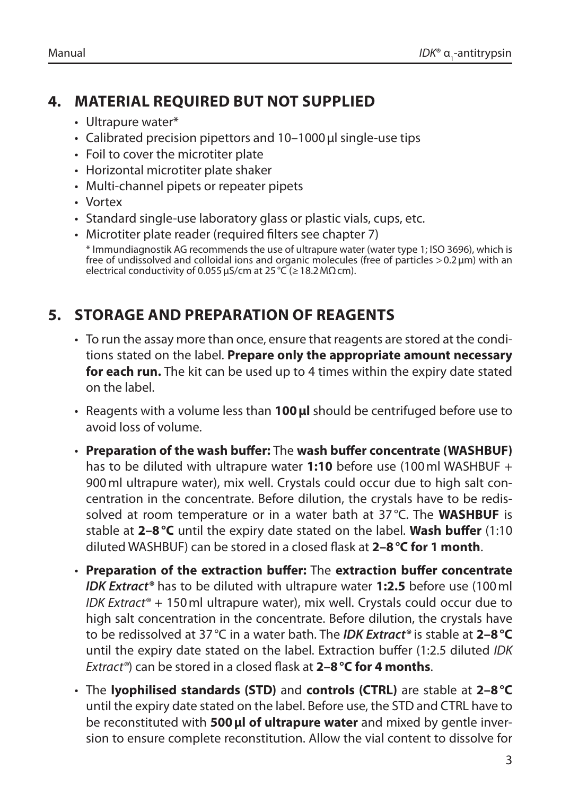### **4. MATERIAL REQUIRED BUT NOT SUPPLIED**

- Ultrapure water\*
- Calibrated precision pipettors and 10–1000 ul single-use tips
- Foil to cover the microtiter plate
- Horizontal microtiter plate shaker
- Multi-channel pipets or repeater pipets
- Vortex
- Standard single-use laboratory glass or plastic vials, cups, etc.
- Microtiter plate reader (required filters see chapter 7)

\* Immundiagnostik AG recommends the use of ultrapure water (water type 1; ISO 3696), which is free of undissolved and colloidal ions and organic molecules (free of particles >0.2µm) with an electrical conductivity of 0.055  $\mu$ S/cm at 25 °C ( $\geq$  18.2 M $\Omega$ cm).

### **5. STORAGE AND PREPARATION OF REAGENTS**

- To run the assay more than once, ensure that reagents are stored at the conditions stated on the label. **Prepare only the appropriate amount necessary for each run.** The kit can be used up to 4 times within the expiry date stated on the label.
- Reagents with a volume less than **100µl** should be centrifuged before use to avoid loss of volume.
- **Preparation of the wash buffer:** The **wash buffer concentrate (WASHBUF)**  has to be diluted with ultrapure water **1:10** before use (100ml WASHBUF + 900ml ultrapure water), mix well. Crystals could occur due to high salt concentration in the concentrate. Before dilution, the crystals have to be redissolved at room temperature or in a water bath at 37°C. The **WASHBUF** is stable at **2–8°C** until the expiry date stated on the label. **Wash buffer** (1:10 diluted WASHBUF) can be stored in a closed flask at **2–8°C for 1 month**.
- **Preparation of the extraction buffer:** The **extraction buffer concentrate**  *IDK Extract®* has to be diluted with ultrapure water **1:2.5** before use (100ml *IDK Extract®* + 150ml ultrapure water), mix well. Crystals could occur due to high salt concentration in the concentrate. Before dilution, the crystals have to be redissolved at 37°C in a water bath. The *IDK Extract®* is stable at **2–8°C** until the expiry date stated on the label. Extraction buffer (1:2.5 diluted *IDK Extract®*) can be stored in a closed flask at **2–8°C for 4 months**.
- The **lyophilised standards (STD)** and **controls (CTRL)** are stable at **2–8°C** until the expiry date stated on the label. Before use, the STD and CTRL have to be reconstituted with **500µl of ultrapure water** and mixed by gentle inversion to ensure complete reconstitution. Allow the vial content to dissolve for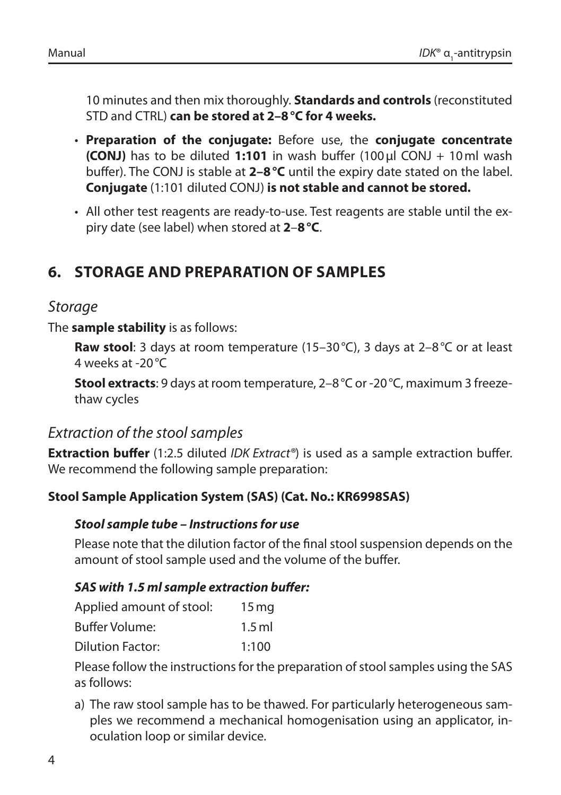10 minutes and then mix thoroughly. **Standards and controls** (reconstituted STD and CTRL) **can be stored at 2–8°C for 4 weeks.**

- **Preparation of the conjugate:** Before use, the **conjugate concentrate (CONJ)** has to be diluted **1:101** in wash buffer (100µl CONJ + 10ml wash buffer). The CONJ is stable at **2–8°C** until the expiry date stated on the label. **Conjugate** (1:101 diluted CONJ) **is not stable and cannot be stored.**
- All other test reagents are ready-to-use. Test reagents are stable until the expiry date (see label) when stored at **2**–**8°C**.

### **6. STORAGE AND PREPARATION OF SAMPLES**

#### *Storage*

The **sample stability** is as follows:

**Raw stool**: 3 days at room temperature (15–30°C), 3 days at 2–8°C or at least 4 weeks at -20°C

**Stool extracts**: 9 days at room temperature, 2–8°C or -20°C, maximum 3 freezethaw cycles

#### *Extraction of the stool samples*

**Extraction buffer** (1:2.5 diluted *IDK Extract®*) is used as a sample extraction buffer. We recommend the following sample preparation:

#### **Stool Sample Application System (SAS) (Cat. No.: KR6998SAS)**

#### *Stool sample tube – Instructions for use*

Please note that the dilution factor of the final stool suspension depends on the amount of stool sample used and the volume of the buffer.

#### *SAS with 1.5 ml sample extraction buffer:*

| Applied amount of stool: | 15 <sub>mg</sub> |
|--------------------------|------------------|
| Buffer Volume:           | $1.5$ ml         |
| Dilution Factor:         | 1:100            |

Please follow the instructions for the preparation of stool samples using the SAS as follows:

a) The raw stool sample has to be thawed. For particularly heterogeneous samples we recommend a mechanical homogenisation using an applicator, inoculation loop or similar device.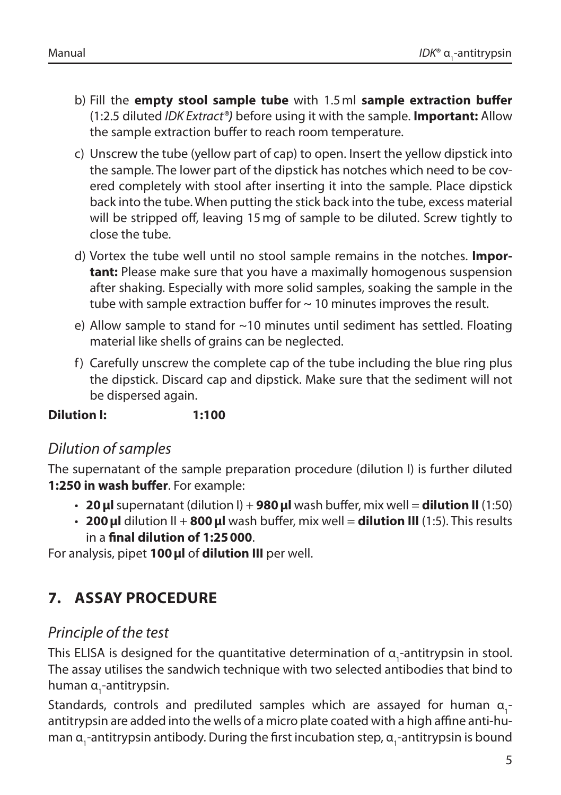- b) Fill the **empty stool sample tube** with 1.5ml **sample extraction buffer** (1:2.5 diluted *IDK Extract®)* before using it with the sample. **Important:** Allow the sample extraction buffer to reach room temperature.
- c) Unscrew the tube (yellow part of cap) to open. Insert the yellow dipstick into the sample. The lower part of the dipstick has notches which need to be covered completely with stool after inserting it into the sample. Place dipstick back into the tube. When putting the stick back into the tube, excess material will be stripped off, leaving 15mg of sample to be diluted. Screw tightly to close the tube.
- d) Vortex the tube well until no stool sample remains in the notches. **Important:** Please make sure that you have a maximally homogenous suspension after shaking. Especially with more solid samples, soaking the sample in the tube with sample extraction buffer for  $\sim$  10 minutes improves the result.
- e) Allow sample to stand for ~10 minutes until sediment has settled. Floating material like shells of grains can be neglected.
- f) Carefully unscrew the complete cap of the tube including the blue ring plus the dipstick. Discard cap and dipstick. Make sure that the sediment will not be dispersed again.

**Dilution I: 1:100**

### *Dilution of samples*

The supernatant of the sample preparation procedure (dilution I) is further diluted **1:250 in wash buffer**. For example:

- **20µl** supernatant (dilution I) + **980µl** wash buffer, mix well = **dilution II** (1:50)
- **200µl** dilution II + **800µl** wash buffer, mix well = **dilution III** (1:5). This results in a **final dilution of 1:25000**.

For analysis, pipet **100µl** of **dilution III** per well.

### **7. ASSAY PROCEDURE**

### *Principle of the test*

This ELISA is designed for the quantitative determination of  $\alpha_{1}$ -antitrypsin in stool. The assay utilises the sandwich technique with two selected antibodies that bind to human α<sub>1</sub>-antitrypsin.

Standards, controls and prediluted samples which are assayed for human  $a_1$ antitrypsin are added into the wells of a micro plate coated with a high affine anti-human α<sub>1</sub>-antitrypsin antibody. During the first incubation step, α<sub>1</sub>-antitrypsin is bound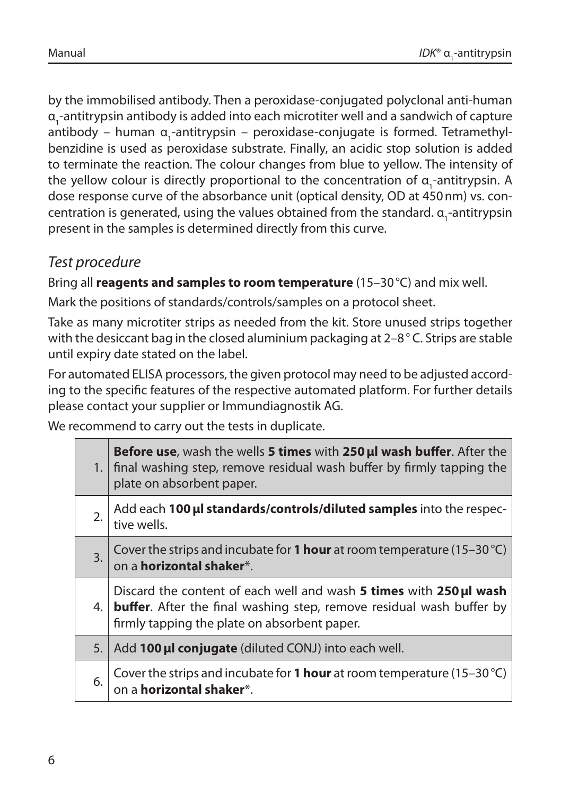by the immobilised antibody. Then a peroxidase-conjugated polyclonal anti-human α<sub>1</sub>-antitrypsin antibody is added into each microtiter well and a sandwich of capture antibody – human α<sub>1</sub>-antitrypsin – peroxidase-conjugate is formed. Tetramethylbenzidine is used as peroxidase substrate. Finally, an acidic stop solution is added to terminate the reaction. The colour changes from blue to yellow. The intensity of the yellow colour is directly proportional to the concentration of  $a_1$ -antitrypsin. A dose response curve of the absorbance unit (optical density, OD at 450nm) vs. concentration is generated, using the values obtained from the standard. α<sub>1</sub>-antitrypsin present in the samples is determined directly from this curve.

### *Test procedure*

Bring all **reagents and samples to room temperature** (15–30°C) and mix well.

Mark the positions of standards/controls/samples on a protocol sheet.

Take as many microtiter strips as needed from the kit. Store unused strips together with the desiccant bag in the closed aluminium packaging at 2–8°C. Strips are stable until expiry date stated on the label.

For automated ELISA processors, the given protocol may need to be adjusted according to the specific features of the respective automated platform. For further details please contact your supplier or Immundiagnostik AG.

We recommend to carry out the tests in duplicate.

|     | <b>Before use, wash the wells 5 times with 250 µJ wash buffer.</b> After the<br>1. final washing step, remove residual wash buffer by firmly tapping the<br>plate on absorbent paper.             |
|-----|---------------------------------------------------------------------------------------------------------------------------------------------------------------------------------------------------|
| 2.  | Add each 100 µl standards/controls/diluted samples into the respec-<br>tive wells.                                                                                                                |
| 3.  | Cover the strips and incubate for 1 hour at room temperature (15-30 °C)<br>on a <b>horizontal shaker</b> *.                                                                                       |
| 4.1 | Discard the content of each well and wash 5 times with 250 µl wash<br><b>buffer.</b> After the final washing step, remove residual wash buffer by<br>firmly tapping the plate on absorbent paper. |
| 5.1 | Add 100 µl conjugate (diluted CONJ) into each well.                                                                                                                                               |
| 6.  | Cover the strips and incubate for 1 hour at room temperature (15-30 °C)<br>on a <b>horizontal shaker</b> *.                                                                                       |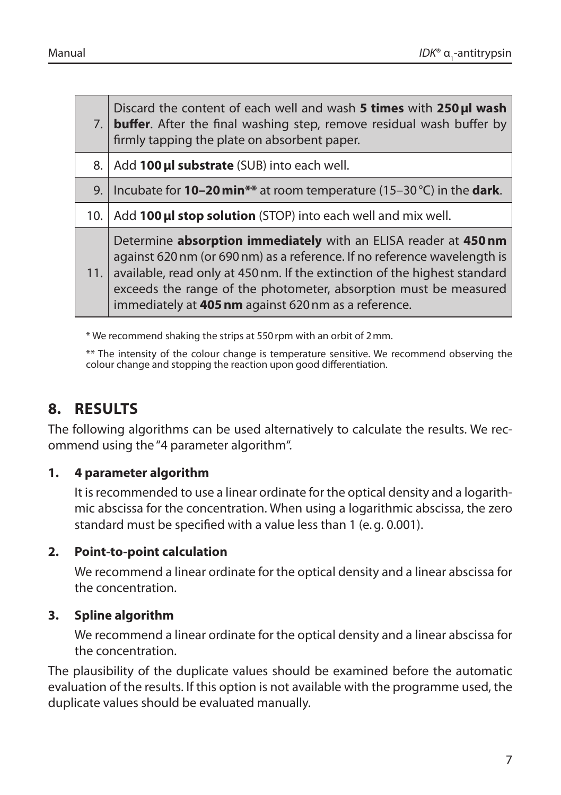|     | Discard the content of each well and wash 5 times with 250 µl wash<br>7. <b>buffer</b> . After the final washing step, remove residual wash buffer by<br>firmly tapping the plate on absorbent paper.                                                                                                                                                |
|-----|------------------------------------------------------------------------------------------------------------------------------------------------------------------------------------------------------------------------------------------------------------------------------------------------------------------------------------------------------|
| 8.1 | Add 100 µl substrate (SUB) into each well.                                                                                                                                                                                                                                                                                                           |
| 9.  | Incubate for <b>10–20 min</b> ** at room temperature (15–30 °C) in the <b>dark</b> .                                                                                                                                                                                                                                                                 |
| 10. | Add 100 µl stop solution (STOP) into each well and mix well.                                                                                                                                                                                                                                                                                         |
| 11. | Determine absorption immediately with an ELISA reader at 450 nm<br>against 620 nm (or 690 nm) as a reference. If no reference wavelength is<br>available, read only at 450 nm. If the extinction of the highest standard<br>exceeds the range of the photometer, absorption must be measured<br>immediately at 405 nm against 620 nm as a reference. |

\* We recommend shaking the strips at 550rpm with an orbit of 2mm.

\*\* The intensity of the colour change is temperature sensitive. We recommend observing the colour change and stopping the reaction upon good differentiation.

### **8. RESULTS**

The following algorithms can be used alternatively to calculate the results. We recommend using the "4 parameter algorithm".

#### **1. 4 parameter algorithm**

It is recommended to use a linear ordinate for the optical density and a logarithmic abscissa for the concentration. When using a logarithmic abscissa, the zero standard must be specified with a value less than 1 (e.g. 0.001).

#### **2. Point-to-point calculation**

We recommend a linear ordinate for the optical density and a linear abscissa for the concentration.

#### **3. Spline algorithm**

We recommend a linear ordinate for the optical density and a linear abscissa for the concentration.

The plausibility of the duplicate values should be examined before the automatic evaluation of the results. If this option is not available with the programme used, the duplicate values should be evaluated manually.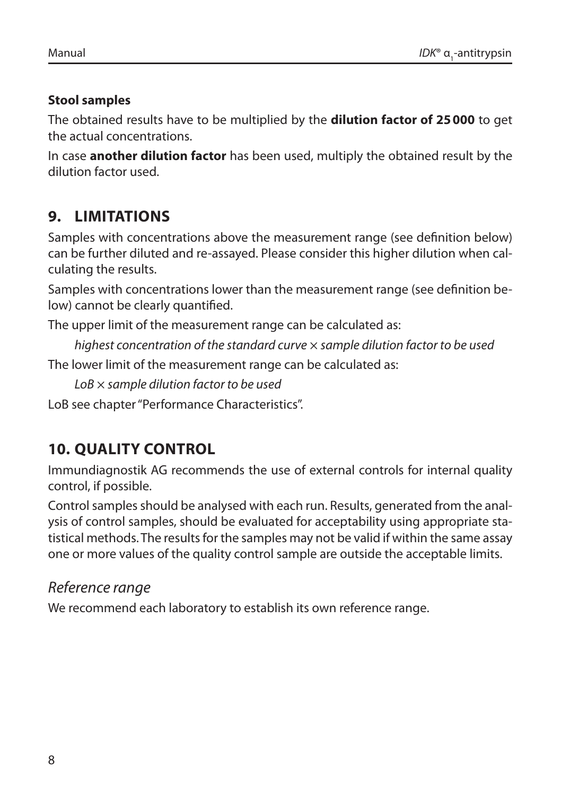#### **Stool samples**

The obtained results have to be multiplied by the **dilution factor of 25000** to get the actual concentrations.

In case **another dilution factor** has been used, multiply the obtained result by the dilution factor used.

### **9. LIMITATIONS**

Samples with concentrations above the measurement range (see definition below) can be further diluted and re-assayed. Please consider this higher dilution when calculating the results.

Samples with concentrations lower than the measurement range (see definition below) cannot be clearly quantified.

The upper limit of the measurement range can be calculated as:

*highest concentration of the standard curve* × *sample dilution factor to be used*

The lower limit of the measurement range can be calculated as:

*LoB* × *sample dilution factor to be used*

LoB see chapter "Performance Characteristics".

### **10. QUALITY CONTROL**

Immundiagnostik AG recommends the use of external controls for internal quality control, if possible.

Control samples should be analysed with each run. Results, generated from the analysis of control samples, should be evaluated for acceptability using appropriate statistical methods. The results for the samples may not be valid if within the same assay one or more values of the quality control sample are outside the acceptable limits.

### *Reference range*

We recommend each laboratory to establish its own reference range.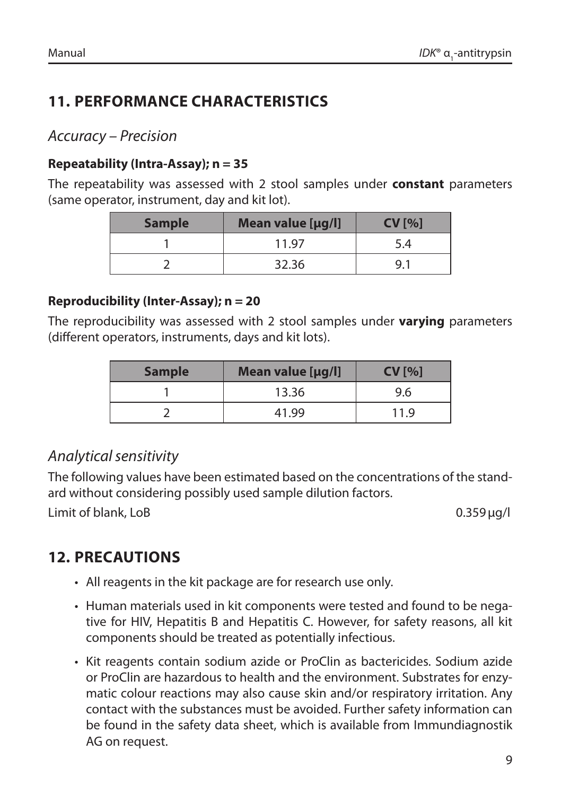### **11. PERFORMANCE CHARACTERISTICS**

### *Accuracy – Precision*

#### **Repeatability (Intra-Assay); n = 35**

The repeatability was assessed with 2 stool samples under **constant** parameters (same operator, instrument, day and kit lot).

| <b>Sample</b> | Mean value [µg/l] | CV[%] |
|---------------|-------------------|-------|
|               | 11.97             | 5.4   |
|               | 32.36             | Q     |

#### **Reproducibility (Inter-Assay); n = 20**

The reproducibility was assessed with 2 stool samples under **varying** parameters (different operators, instruments, days and kit lots).

| <b>Sample</b> | Mean value [µg/l] | CV[%] |
|---------------|-------------------|-------|
|               | 13.36             | 9.6   |
|               | 41.99             | 11 9  |

### *Analytical sensitivity*

The following values have been estimated based on the concentrations of the standard without considering possibly used sample dilution factors.

Limit of blank, LoB 0.359 µg/l

### **12. PRECAUTIONS**

- All reagents in the kit package are for research use only.
- Human materials used in kit components were tested and found to be negative for HIV, Hepatitis B and Hepatitis C. However, for safety reasons, all kit components should be treated as potentially infectious.
- Kit reagents contain sodium azide or ProClin as bactericides. Sodium azide or ProClin are hazardous to health and the environment. Substrates for enzymatic colour reactions may also cause skin and/or respiratory irritation. Any contact with the substances must be avoided. Further safety information can be found in the safety data sheet, which is available from Immundiagnostik AG on request.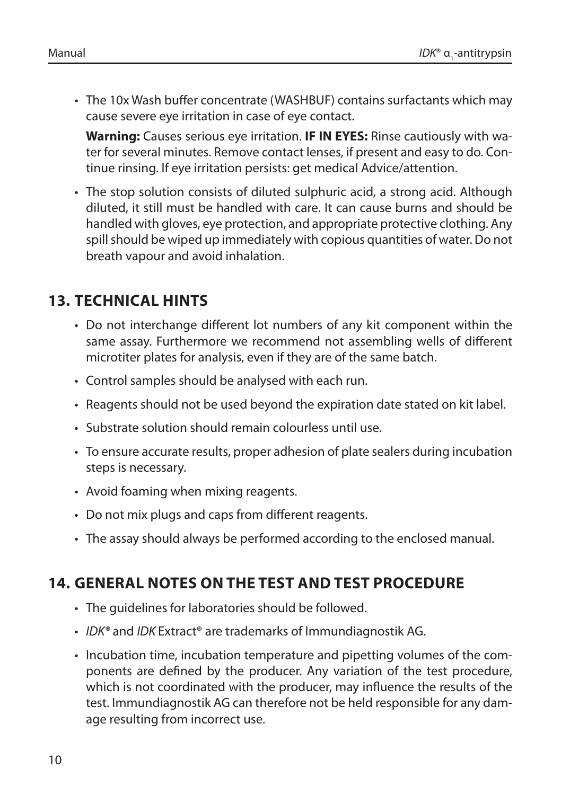• The 10x Wash buffer concentrate (WASHBUF) contains surfactants which may cause severe eye irritation in case of eye contact.

**Warning:** Causes serious eye irritation. **IF IN EYES:** Rinse cautiously with water for several minutes. Remove contact lenses, if present and easy to do. Continue rinsing. If eye irritation persists: get medical Advice/attention.

• The stop solution consists of diluted sulphuric acid, a strong acid. Although diluted, it still must be handled with care. It can cause burns and should be handled with gloves, eye protection, and appropriate protective clothing. Any spill should be wiped up immediately with copious quantities of water. Do not breath vapour and avoid inhalation.

### **13. TECHNICAL HINTS**

- Do not interchange different lot numbers of any kit component within the same assay. Furthermore we recommend not assembling wells of different microtiter plates for analysis, even if they are of the same batch.
- Control samples should be analysed with each run.
- Reagents should not be used beyond the expiration date stated on kit label.
- Substrate solution should remain colourless until use.
- To ensure accurate results, proper adhesion of plate sealers during incubation steps is necessary.
- Avoid foaming when mixing reagents.
- Do not mix plugs and caps from different reagents.
- The assay should always be performed according to the enclosed manual.

### **14. GENERAL NOTES ON THE TEST AND TEST PROCEDURE**

- The guidelines for laboratories should be followed.
- *IDK®* and *IDK* Extract® are trademarks of Immundiagnostik AG.
- Incubation time, incubation temperature and pipetting volumes of the components are defined by the producer. Any variation of the test procedure, which is not coordinated with the producer, may influence the results of the test. Immundiagnostik AG can therefore not be held responsible for any damage resulting from incorrect use.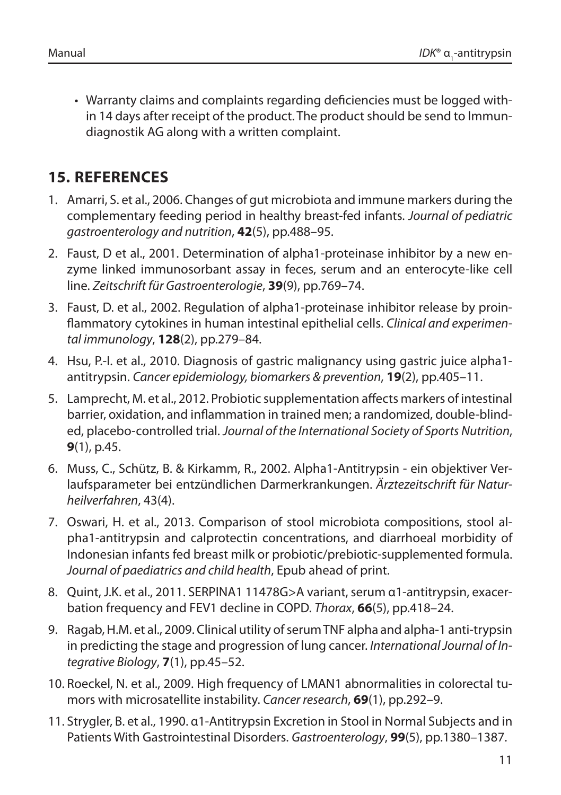• Warranty claims and complaints regarding deficiencies must be logged within 14 days after receipt of the product. The product should be send to Immundiagnostik AG along with a written complaint.

### **15. REFERENCES**

- 1. Amarri, S. et al., 2006. Changes of gut microbiota and immune markers during the complementary feeding period in healthy breast-fed infants. *Journal of pediatric gastroenterology and nutrition*, **42**(5), pp.488–95.
- 2. Faust, D et al., 2001. Determination of alpha1-proteinase inhibitor by a new enzyme linked immunosorbant assay in feces, serum and an enterocyte-like cell line. *Zeitschrift für Gastroenterologie*, **39**(9), pp.769–74.
- 3. Faust, D. et al., 2002. Regulation of alpha1-proteinase inhibitor release by proinflammatory cytokines in human intestinal epithelial cells. *Clinical and experimental immunology*, **128**(2), pp.279–84.
- 4. Hsu, P.-I. et al., 2010. Diagnosis of gastric malignancy using gastric juice alpha1 antitrypsin. *Cancer epidemiology, biomarkers & prevention*, **19**(2), pp.405–11.
- 5. Lamprecht, M. et al., 2012. Probiotic supplementation affects markers of intestinal barrier, oxidation, and inflammation in trained men; a randomized, double-blinded, placebo-controlled trial. *Journal of the International Society of Sports Nutrition*, **9**(1), p.45.
- 6. Muss, C., Schütz, B. & Kirkamm, R., 2002. Alpha1-Antitrypsin ein objektiver Verlaufsparameter bei entzündlichen Darmerkrankungen. *Ärztezeitschrift für Naturheilverfahren*, 43(4).
- 7. Oswari, H. et al., 2013. Comparison of stool microbiota compositions, stool alpha1-antitrypsin and calprotectin concentrations, and diarrhoeal morbidity of Indonesian infants fed breast milk or probiotic/prebiotic-supplemented formula. *Journal of paediatrics and child health*, Epub ahead of print.
- 8. Quint, J.K. et al., 2011. SERPINA1 11478G>A variant, serum α1-antitrypsin, exacerbation frequency and FEV1 decline in COPD. *Thorax*, **66**(5), pp.418–24.
- 9. Ragab, H.M. et al., 2009. Clinical utility of serum TNF alpha and alpha-1 anti-trypsin in predicting the stage and progression of lung cancer. *International Journal of Integrative Biology*, **7**(1), pp.45–52.
- 10. Roeckel, N. et al., 2009. High frequency of LMAN1 abnormalities in colorectal tumors with microsatellite instability. *Cancer research*, **69**(1), pp.292–9.
- 11. Strygler, B. et al., 1990. α1-Antitrypsin Excretion in Stool in Normal Subjects and in Patients With Gastrointestinal Disorders. *Gastroenterology*, **99**(5), pp.1380–1387.